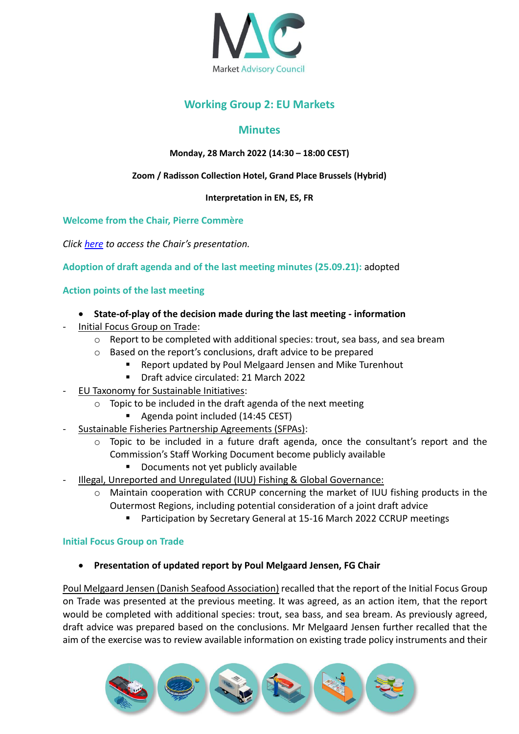

# **Working Group 2: EU Markets**

## **Minutes**

## **Monday, 28 March 2022 (14:30 – 18:00 CEST)**

#### **Zoom / Radisson Collection Hotel, Grand Place Brussels (Hybrid)**

#### **Interpretation in EN, ES, FR**

### **Welcome from the Chair, Pierre Commère**

*Click [here](https://marketac.eu/wp-content/uploads/2022/03/WG2-Chair-Presentation-28.03.2022.pdf) to access the Chair's presentation.*

**Adoption of draft agenda and of the last meeting minutes (25.09.21):** adopted

## **Action points of the last meeting**

- **State-of-play of the decision made during the last meeting - information**
- Initial Focus Group on Trade:
	- o Report to be completed with additional species: trout, sea bass, and sea bream
	- o Based on the report's conclusions, draft advice to be prepared
		- Report updated by Poul Melgaard Jensen and Mike Turenhout
		- Draft advice circulated: 21 March 2022
- EU Taxonomy for Sustainable Initiatives:
	- o Topic to be included in the draft agenda of the next meeting
		- Agenda point included (14:45 CEST)
- Sustainable Fisheries Partnership Agreements (SFPAs):
	- $\circ$  Topic to be included in a future draft agenda, once the consultant's report and the Commission's Staff Working Document become publicly available
		- Documents not yet publicly available
- Illegal, Unreported and Unregulated (IUU) Fishing & Global Governance:
	- o Maintain cooperation with CCRUP concerning the market of IUU fishing products in the Outermost Regions, including potential consideration of a joint draft advice
		- Participation by Secretary General at 15-16 March 2022 CCRUP meetings

#### **Initial Focus Group on Trade**

• **Presentation of updated report by Poul Melgaard Jensen, FG Chair**

Poul Melgaard Jensen (Danish Seafood Association) recalled that the report of the Initial Focus Group on Trade was presented at the previous meeting. It was agreed, as an action item, that the report would be completed with additional species: trout, sea bass, and sea bream. As previously agreed, draft advice was prepared based on the conclusions. Mr Melgaard Jensen further recalled that the aim of the exercise was to review available information on existing trade policy instruments and their

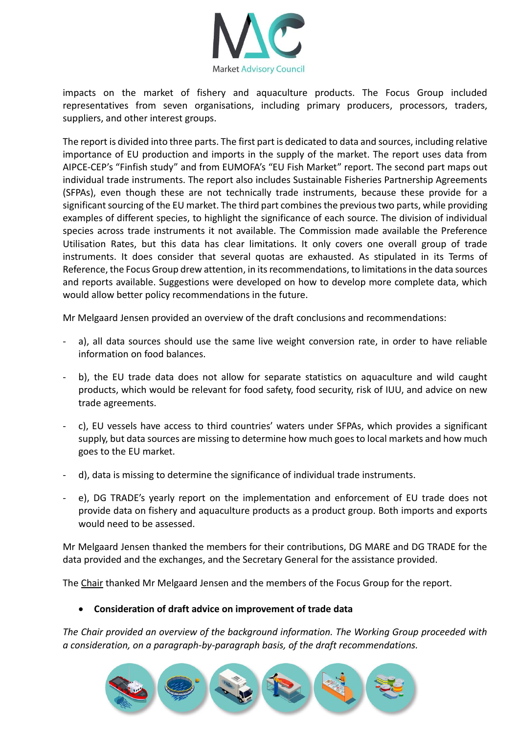

impacts on the market of fishery and aquaculture products. The Focus Group included representatives from seven organisations, including primary producers, processors, traders, suppliers, and other interest groups.

The report is divided into three parts. The first part is dedicated to data and sources, including relative importance of EU production and imports in the supply of the market. The report uses data from AIPCE-CEP's "Finfish study" and from EUMOFA's "EU Fish Market" report. The second part maps out individual trade instruments. The report also includes Sustainable Fisheries Partnership Agreements (SFPAs), even though these are not technically trade instruments, because these provide for a significant sourcing of the EU market. The third part combines the previous two parts, while providing examples of different species, to highlight the significance of each source. The division of individual species across trade instruments it not available. The Commission made available the Preference Utilisation Rates, but this data has clear limitations. It only covers one overall group of trade instruments. It does consider that several quotas are exhausted. As stipulated in its Terms of Reference, the Focus Group drew attention, in its recommendations, to limitations in the data sources and reports available. Suggestions were developed on how to develop more complete data, which would allow better policy recommendations in the future.

Mr Melgaard Jensen provided an overview of the draft conclusions and recommendations:

- a), all data sources should use the same live weight conversion rate, in order to have reliable information on food balances.
- b), the EU trade data does not allow for separate statistics on aquaculture and wild caught products, which would be relevant for food safety, food security, risk of IUU, and advice on new trade agreements.
- c), EU vessels have access to third countries' waters under SFPAs, which provides a significant supply, but data sources are missing to determine how much goes to local markets and how much goes to the EU market.
- d), data is missing to determine the significance of individual trade instruments.
- e), DG TRADE's yearly report on the implementation and enforcement of EU trade does not provide data on fishery and aquaculture products as a product group. Both imports and exports would need to be assessed.

Mr Melgaard Jensen thanked the members for their contributions, DG MARE and DG TRADE for the data provided and the exchanges, and the Secretary General for the assistance provided.

The Chair thanked Mr Melgaard Jensen and the members of the Focus Group for the report.

#### • **Consideration of draft advice on improvement of trade data**

*The Chair provided an overview of the background information. The Working Group proceeded with a consideration, on a paragraph-by-paragraph basis, of the draft recommendations.* 

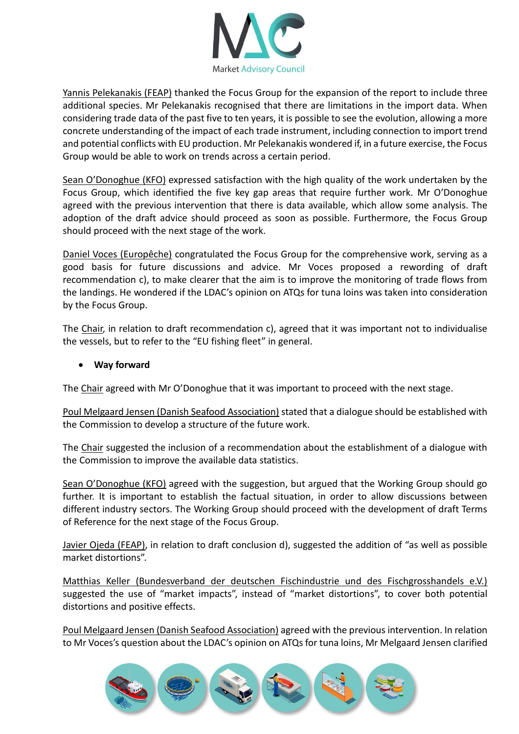

Yannis Pelekanakis (FEAP) thanked the Focus Group for the expansion of the report to include three additional species. Mr Pelekanakis recognised that there are limitations in the import data. When considering trade data of the past five to ten years, it is possible to see the evolution, allowing a more concrete understanding of the impact of each trade instrument, including connection to import trend and potential conflicts with EU production. Mr Pelekanakis wondered if, in a future exercise, the Focus Group would be able to work on trends across a certain period.

Sean O'Donoghue (KFO) expressed satisfaction with the high quality of the work undertaken by the Focus Group, which identified the five key gap areas that require further work. Mr O'Donoghue agreed with the previous intervention that there is data available, which allow some analysis. The adoption of the draft advice should proceed as soon as possible. Furthermore, the Focus Group should proceed with the next stage of the work.

Daniel Voces (Europêche) congratulated the Focus Group for the comprehensive work, serving as a good basis for future discussions and advice. Mr Voces proposed a rewording of draft recommendation c), to make clearer that the aim is to improve the monitoring of trade flows from the landings. He wondered if the LDAC's opinion on ATQs for tuna loins was taken into consideration by the Focus Group.

The Chair, in relation to draft recommendation c), agreed that it was important not to individualise the vessels, but to refer to the "EU fishing fleet" in general.

## • **Way forward**

The Chair agreed with Mr O'Donoghue that it was important to proceed with the next stage.

Poul Melgaard Jensen (Danish Seafood Association) stated that a dialogue should be established with the Commission to develop a structure of the future work.

The Chair suggested the inclusion of a recommendation about the establishment of a dialogue with the Commission to improve the available data statistics.

Sean O'Donoghue (KFO) agreed with the suggestion, but argued that the Working Group should go further. It is important to establish the factual situation, in order to allow discussions between different industry sectors. The Working Group should proceed with the development of draft Terms of Reference for the next stage of the Focus Group.

Javier Ojeda (FEAP), in relation to draft conclusion d), suggested the addition of "as well as possible market distortions".

Matthias Keller (Bundesverband der deutschen Fischindustrie und des Fischgrosshandels e.V.) suggested the use of "market impacts", instead of "market distortions", to cover both potential distortions and positive effects.

Poul Melgaard Jensen (Danish Seafood Association) agreed with the previous intervention. In relation to Mr Voces's question about the LDAC's opinion on ATQs for tuna loins, Mr Melgaard Jensen clarified

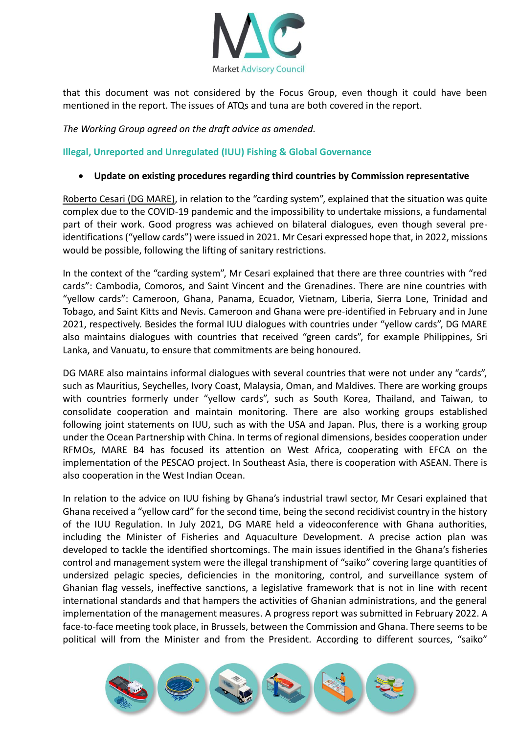

that this document was not considered by the Focus Group, even though it could have been mentioned in the report. The issues of ATQs and tuna are both covered in the report.

*The Working Group agreed on the draft advice as amended.* 

**Illegal, Unreported and Unregulated (IUU) Fishing & Global Governance**

#### • **Update on existing procedures regarding third countries by Commission representative**

Roberto Cesari (DG MARE), in relation to the "carding system", explained that the situation was quite complex due to the COVID-19 pandemic and the impossibility to undertake missions, a fundamental part of their work. Good progress was achieved on bilateral dialogues, even though several preidentifications ("yellow cards") were issued in 2021. Mr Cesari expressed hope that, in 2022, missions would be possible, following the lifting of sanitary restrictions.

In the context of the "carding system", Mr Cesari explained that there are three countries with "red cards": Cambodia, Comoros, and Saint Vincent and the Grenadines. There are nine countries with "yellow cards": Cameroon, Ghana, Panama, Ecuador, Vietnam, Liberia, Sierra Lone, Trinidad and Tobago, and Saint Kitts and Nevis. Cameroon and Ghana were pre-identified in February and in June 2021, respectively. Besides the formal IUU dialogues with countries under "yellow cards", DG MARE also maintains dialogues with countries that received "green cards", for example Philippines, Sri Lanka, and Vanuatu, to ensure that commitments are being honoured.

DG MARE also maintains informal dialogues with several countries that were not under any "cards", such as Mauritius, Seychelles, Ivory Coast, Malaysia, Oman, and Maldives. There are working groups with countries formerly under "yellow cards", such as South Korea, Thailand, and Taiwan, to consolidate cooperation and maintain monitoring. There are also working groups established following joint statements on IUU, such as with the USA and Japan. Plus, there is a working group under the Ocean Partnership with China. In terms of regional dimensions, besides cooperation under RFMOs, MARE B4 has focused its attention on West Africa, cooperating with EFCA on the implementation of the PESCAO project. In Southeast Asia, there is cooperation with ASEAN. There is also cooperation in the West Indian Ocean.

In relation to the advice on IUU fishing by Ghana's industrial trawl sector, Mr Cesari explained that Ghana received a "yellow card" for the second time, being the second recidivist country in the history of the IUU Regulation. In July 2021, DG MARE held a videoconference with Ghana authorities, including the Minister of Fisheries and Aquaculture Development. A precise action plan was developed to tackle the identified shortcomings. The main issues identified in the Ghana's fisheries control and management system were the illegal transhipment of "saiko" covering large quantities of undersized pelagic species, deficiencies in the monitoring, control, and surveillance system of Ghanian flag vessels, ineffective sanctions, a legislative framework that is not in line with recent international standards and that hampers the activities of Ghanian administrations, and the general implementation of the management measures. A progress report was submitted in February 2022. A face-to-face meeting took place, in Brussels, between the Commission and Ghana. There seems to be political will from the Minister and from the President. According to different sources, "saiko"

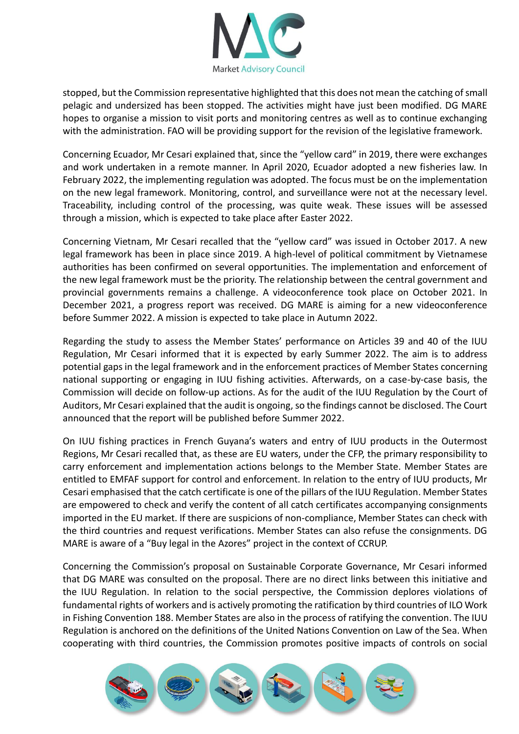

stopped, but the Commission representative highlighted that this does not mean the catching of small pelagic and undersized has been stopped. The activities might have just been modified. DG MARE hopes to organise a mission to visit ports and monitoring centres as well as to continue exchanging with the administration. FAO will be providing support for the revision of the legislative framework.

Concerning Ecuador, Mr Cesari explained that, since the "yellow card" in 2019, there were exchanges and work undertaken in a remote manner. In April 2020, Ecuador adopted a new fisheries law. In February 2022, the implementing regulation was adopted. The focus must be on the implementation on the new legal framework. Monitoring, control, and surveillance were not at the necessary level. Traceability, including control of the processing, was quite weak. These issues will be assessed through a mission, which is expected to take place after Easter 2022.

Concerning Vietnam, Mr Cesari recalled that the "yellow card" was issued in October 2017. A new legal framework has been in place since 2019. A high-level of political commitment by Vietnamese authorities has been confirmed on several opportunities. The implementation and enforcement of the new legal framework must be the priority. The relationship between the central government and provincial governments remains a challenge. A videoconference took place on October 2021. In December 2021, a progress report was received. DG MARE is aiming for a new videoconference before Summer 2022. A mission is expected to take place in Autumn 2022.

Regarding the study to assess the Member States' performance on Articles 39 and 40 of the IUU Regulation, Mr Cesari informed that it is expected by early Summer 2022. The aim is to address potential gaps in the legal framework and in the enforcement practices of Member States concerning national supporting or engaging in IUU fishing activities. Afterwards, on a case-by-case basis, the Commission will decide on follow-up actions. As for the audit of the IUU Regulation by the Court of Auditors, Mr Cesari explained that the audit is ongoing, so the findings cannot be disclosed. The Court announced that the report will be published before Summer 2022.

On IUU fishing practices in French Guyana's waters and entry of IUU products in the Outermost Regions, Mr Cesari recalled that, as these are EU waters, under the CFP, the primary responsibility to carry enforcement and implementation actions belongs to the Member State. Member States are entitled to EMFAF support for control and enforcement. In relation to the entry of IUU products, Mr Cesari emphasised that the catch certificate is one of the pillars of the IUU Regulation. Member States are empowered to check and verify the content of all catch certificates accompanying consignments imported in the EU market. If there are suspicions of non-compliance, Member States can check with the third countries and request verifications. Member States can also refuse the consignments. DG MARE is aware of a "Buy legal in the Azores" project in the context of CCRUP.

Concerning the Commission's proposal on Sustainable Corporate Governance, Mr Cesari informed that DG MARE was consulted on the proposal. There are no direct links between this initiative and the IUU Regulation. In relation to the social perspective, the Commission deplores violations of fundamental rights of workers and is actively promoting the ratification by third countries of ILO Work in Fishing Convention 188. Member States are also in the process of ratifying the convention. The IUU Regulation is anchored on the definitions of the United Nations Convention on Law of the Sea. When cooperating with third countries, the Commission promotes positive impacts of controls on social

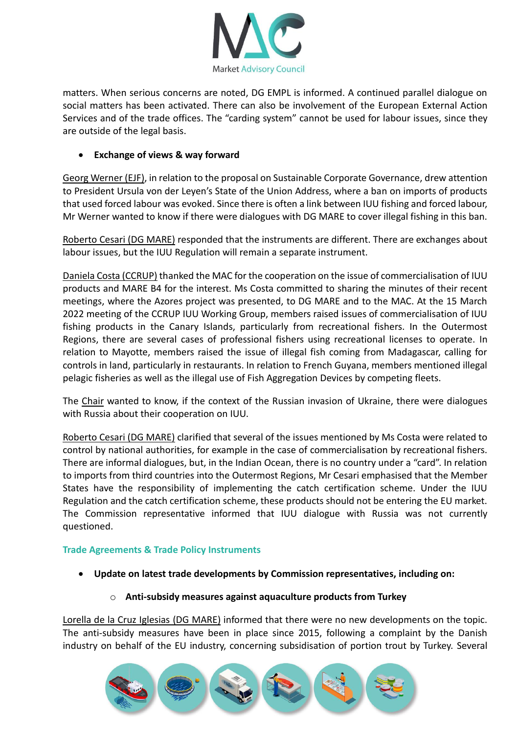

matters. When serious concerns are noted, DG EMPL is informed. A continued parallel dialogue on social matters has been activated. There can also be involvement of the European External Action Services and of the trade offices. The "carding system" cannot be used for labour issues, since they are outside of the legal basis.

## • **Exchange of views & way forward**

Georg Werner (EJF), in relation to the proposal on Sustainable Corporate Governance, drew attention to President Ursula von der Leyen's State of the Union Address, where a ban on imports of products that used forced labour was evoked. Since there is often a link between IUU fishing and forced labour, Mr Werner wanted to know if there were dialogues with DG MARE to cover illegal fishing in this ban.

Roberto Cesari (DG MARE) responded that the instruments are different. There are exchanges about labour issues, but the IUU Regulation will remain a separate instrument.

Daniela Costa (CCRUP) thanked the MAC for the cooperation on the issue of commercialisation of IUU products and MARE B4 for the interest. Ms Costa committed to sharing the minutes of their recent meetings, where the Azores project was presented, to DG MARE and to the MAC. At the 15 March 2022 meeting of the CCRUP IUU Working Group, members raised issues of commercialisation of IUU fishing products in the Canary Islands, particularly from recreational fishers. In the Outermost Regions, there are several cases of professional fishers using recreational licenses to operate. In relation to Mayotte, members raised the issue of illegal fish coming from Madagascar, calling for controls in land, particularly in restaurants. In relation to French Guyana, members mentioned illegal pelagic fisheries as well as the illegal use of Fish Aggregation Devices by competing fleets.

The Chair wanted to know, if the context of the Russian invasion of Ukraine, there were dialogues with Russia about their cooperation on IUU.

Roberto Cesari (DG MARE) clarified that several of the issues mentioned by Ms Costa were related to control by national authorities, for example in the case of commercialisation by recreational fishers. There are informal dialogues, but, in the Indian Ocean, there is no country under a "card". In relation to imports from third countries into the Outermost Regions, Mr Cesari emphasised that the Member States have the responsibility of implementing the catch certification scheme. Under the IUU Regulation and the catch certification scheme, these products should not be entering the EU market. The Commission representative informed that IUU dialogue with Russia was not currently questioned.

#### **Trade Agreements & Trade Policy Instruments**

- **Update on latest trade developments by Commission representatives, including on:**
	- o **Anti-subsidy measures against aquaculture products from Turkey**

Lorella de la Cruz Iglesias (DG MARE) informed that there were no new developments on the topic. The anti-subsidy measures have been in place since 2015, following a complaint by the Danish industry on behalf of the EU industry, concerning subsidisation of portion trout by Turkey. Several

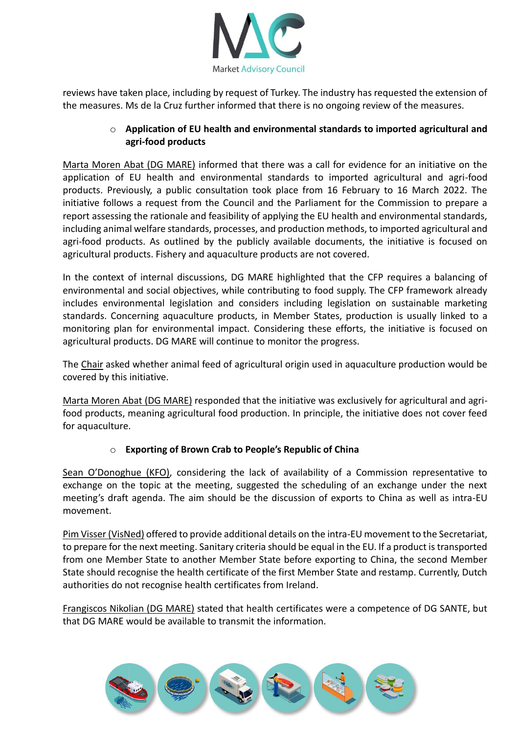

reviews have taken place, including by request of Turkey. The industry has requested the extension of the measures. Ms de la Cruz further informed that there is no ongoing review of the measures.

# o **Application of EU health and environmental standards to imported agricultural and agri-food products**

Marta Moren Abat (DG MARE) informed that there was a call for evidence for an initiative on the application of EU health and environmental standards to imported agricultural and agri-food products. Previously, a public consultation took place from 16 February to 16 March 2022. The initiative follows a request from the Council and the Parliament for the Commission to prepare a report assessing the rationale and feasibility of applying the EU health and environmental standards, including animal welfare standards, processes, and production methods, to imported agricultural and agri-food products. As outlined by the publicly available documents, the initiative is focused on agricultural products. Fishery and aquaculture products are not covered.

In the context of internal discussions, DG MARE highlighted that the CFP requires a balancing of environmental and social objectives, while contributing to food supply. The CFP framework already includes environmental legislation and considers including legislation on sustainable marketing standards. Concerning aquaculture products, in Member States, production is usually linked to a monitoring plan for environmental impact. Considering these efforts, the initiative is focused on agricultural products. DG MARE will continue to monitor the progress.

The Chair asked whether animal feed of agricultural origin used in aquaculture production would be covered by this initiative.

Marta Moren Abat (DG MARE) responded that the initiative was exclusively for agricultural and agrifood products, meaning agricultural food production. In principle, the initiative does not cover feed for aquaculture.

## o **Exporting of Brown Crab to People's Republic of China**

Sean O'Donoghue (KFO), considering the lack of availability of a Commission representative to exchange on the topic at the meeting, suggested the scheduling of an exchange under the next meeting's draft agenda. The aim should be the discussion of exports to China as well as intra-EU movement.

Pim Visser (VisNed) offered to provide additional details on the intra-EU movement to the Secretariat, to prepare for the next meeting. Sanitary criteria should be equal in the EU. If a product is transported from one Member State to another Member State before exporting to China, the second Member State should recognise the health certificate of the first Member State and restamp. Currently, Dutch authorities do not recognise health certificates from Ireland.

Frangiscos Nikolian (DG MARE) stated that health certificates were a competence of DG SANTE, but that DG MARE would be available to transmit the information.

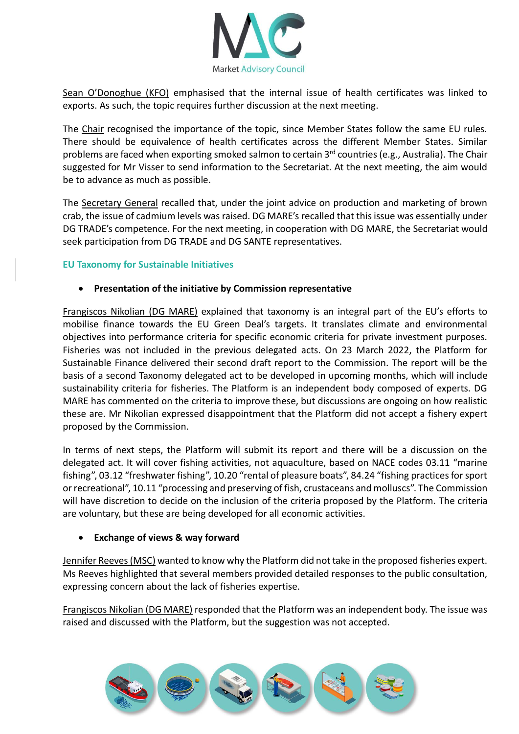

Sean O'Donoghue (KFO) emphasised that the internal issue of health certificates was linked to exports. As such, the topic requires further discussion at the next meeting.

The Chair recognised the importance of the topic, since Member States follow the same EU rules. There should be equivalence of health certificates across the different Member States. Similar problems are faced when exporting smoked salmon to certain 3<sup>rd</sup> countries (e.g., Australia). The Chair suggested for Mr Visser to send information to the Secretariat. At the next meeting, the aim would be to advance as much as possible.

The Secretary General recalled that, under the joint advice on production and marketing of brown crab, the issue of cadmium levels was raised. DG MARE's recalled that this issue was essentially under DG TRADE's competence. For the next meeting, in cooperation with DG MARE, the Secretariat would seek participation from DG TRADE and DG SANTE representatives.

### **EU Taxonomy for Sustainable Initiatives**

### • **Presentation of the initiative by Commission representative**

Frangiscos Nikolian (DG MARE) explained that taxonomy is an integral part of the EU's efforts to mobilise finance towards the EU Green Deal's targets. It translates climate and environmental objectives into performance criteria for specific economic criteria for private investment purposes. Fisheries was not included in the previous delegated acts. On 23 March 2022, the Platform for Sustainable Finance delivered their second draft report to the Commission. The report will be the basis of a second Taxonomy delegated act to be developed in upcoming months, which will include sustainability criteria for fisheries. The Platform is an independent body composed of experts. DG MARE has commented on the criteria to improve these, but discussions are ongoing on how realistic these are. Mr Nikolian expressed disappointment that the Platform did not accept a fishery expert proposed by the Commission.

In terms of next steps, the Platform will submit its report and there will be a discussion on the delegated act. It will cover fishing activities, not aquaculture, based on NACE codes 03.11 "marine fishing", 03.12 "freshwater fishing", 10.20 "rental of pleasure boats", 84.24 "fishing practices for sport or recreational", 10.11 "processing and preserving of fish, crustaceans and molluscs". The Commission will have discretion to decide on the inclusion of the criteria proposed by the Platform. The criteria are voluntary, but these are being developed for all economic activities.

#### • **Exchange of views & way forward**

Jennifer Reeves (MSC) wanted to know why the Platform did not take in the proposed fisheries expert. Ms Reeves highlighted that several members provided detailed responses to the public consultation, expressing concern about the lack of fisheries expertise.

Frangiscos Nikolian (DG MARE) responded that the Platform was an independent body. The issue was raised and discussed with the Platform, but the suggestion was not accepted.

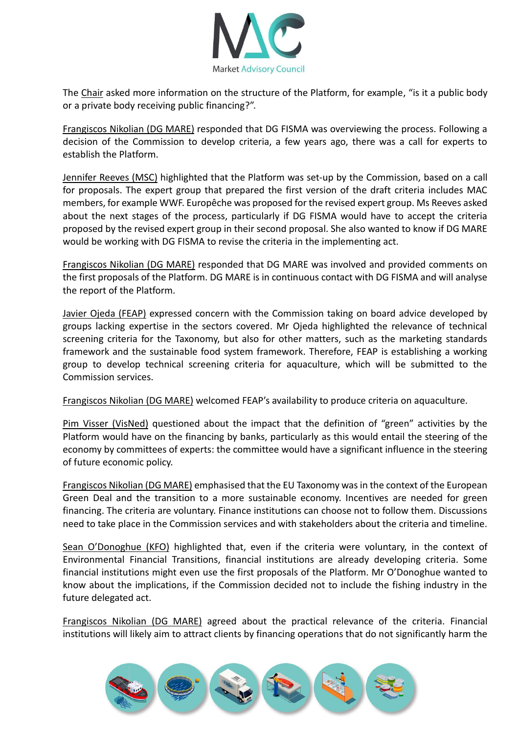

The Chair asked more information on the structure of the Platform, for example, "is it a public body or a private body receiving public financing?".

Frangiscos Nikolian (DG MARE) responded that DG FISMA was overviewing the process. Following a decision of the Commission to develop criteria, a few years ago, there was a call for experts to establish the Platform.

Jennifer Reeves (MSC) highlighted that the Platform was set-up by the Commission, based on a call for proposals. The expert group that prepared the first version of the draft criteria includes MAC members, for example WWF. Europêche was proposed for the revised expert group. Ms Reeves asked about the next stages of the process, particularly if DG FISMA would have to accept the criteria proposed by the revised expert group in their second proposal. She also wanted to know if DG MARE would be working with DG FISMA to revise the criteria in the implementing act.

Frangiscos Nikolian (DG MARE) responded that DG MARE was involved and provided comments on the first proposals of the Platform. DG MARE is in continuous contact with DG FISMA and will analyse the report of the Platform.

Javier Ojeda (FEAP) expressed concern with the Commission taking on board advice developed by groups lacking expertise in the sectors covered. Mr Ojeda highlighted the relevance of technical screening criteria for the Taxonomy, but also for other matters, such as the marketing standards framework and the sustainable food system framework. Therefore, FEAP is establishing a working group to develop technical screening criteria for aquaculture, which will be submitted to the Commission services.

Frangiscos Nikolian (DG MARE) welcomed FEAP's availability to produce criteria on aquaculture.

Pim Visser (VisNed) questioned about the impact that the definition of "green" activities by the Platform would have on the financing by banks, particularly as this would entail the steering of the economy by committees of experts: the committee would have a significant influence in the steering of future economic policy.

Frangiscos Nikolian (DG MARE) emphasised that the EU Taxonomy was in the context of the European Green Deal and the transition to a more sustainable economy. Incentives are needed for green financing. The criteria are voluntary. Finance institutions can choose not to follow them. Discussions need to take place in the Commission services and with stakeholders about the criteria and timeline.

Sean O'Donoghue (KFO) highlighted that, even if the criteria were voluntary, in the context of Environmental Financial Transitions, financial institutions are already developing criteria. Some financial institutions might even use the first proposals of the Platform. Mr O'Donoghue wanted to know about the implications, if the Commission decided not to include the fishing industry in the future delegated act.

Frangiscos Nikolian (DG MARE) agreed about the practical relevance of the criteria. Financial institutions will likely aim to attract clients by financing operations that do not significantly harm the

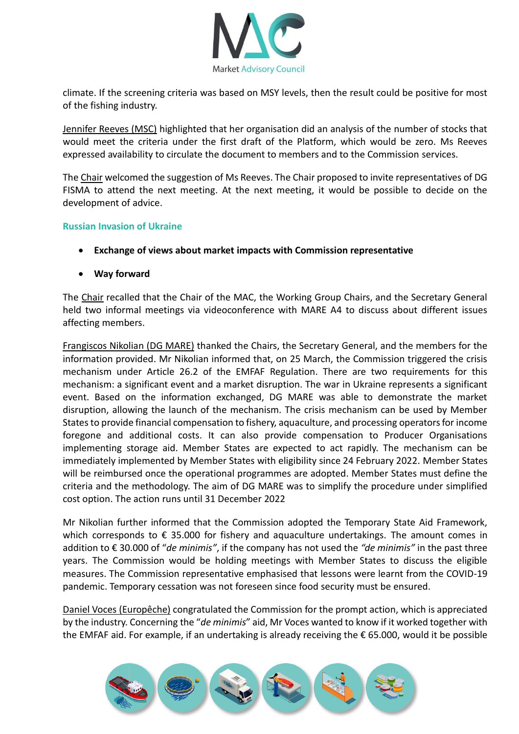

climate. If the screening criteria was based on MSY levels, then the result could be positive for most of the fishing industry.

Jennifer Reeves (MSC) highlighted that her organisation did an analysis of the number of stocks that would meet the criteria under the first draft of the Platform, which would be zero. Ms Reeves expressed availability to circulate the document to members and to the Commission services.

The Chair welcomed the suggestion of Ms Reeves. The Chair proposed to invite representatives of DG FISMA to attend the next meeting. At the next meeting, it would be possible to decide on the development of advice.

#### **Russian Invasion of Ukraine**

- **Exchange of views about market impacts with Commission representative**
- **Way forward**

The Chair recalled that the Chair of the MAC, the Working Group Chairs, and the Secretary General held two informal meetings via videoconference with MARE A4 to discuss about different issues affecting members.

Frangiscos Nikolian (DG MARE) thanked the Chairs, the Secretary General, and the members for the information provided. Mr Nikolian informed that, on 25 March, the Commission triggered the crisis mechanism under Article 26.2 of the EMFAF Regulation. There are two requirements for this mechanism: a significant event and a market disruption. The war in Ukraine represents a significant event. Based on the information exchanged, DG MARE was able to demonstrate the market disruption, allowing the launch of the mechanism. The crisis mechanism can be used by Member States to provide financial compensation to fishery, aquaculture, and processing operators for income foregone and additional costs. It can also provide compensation to Producer Organisations implementing storage aid. Member States are expected to act rapidly. The mechanism can be immediately implemented by Member States with eligibility since 24 February 2022. Member States will be reimbursed once the operational programmes are adopted. Member States must define the criteria and the methodology. The aim of DG MARE was to simplify the procedure under simplified cost option. The action runs until 31 December 2022

Mr Nikolian further informed that the Commission adopted the Temporary State Aid Framework, which corresponds to  $\epsilon$  35.000 for fishery and aquaculture undertakings. The amount comes in addition to € 30.000 of "*de minimis"*, if the company has not used the *"de minimis"* in the past three years. The Commission would be holding meetings with Member States to discuss the eligible measures. The Commission representative emphasised that lessons were learnt from the COVID-19 pandemic. Temporary cessation was not foreseen since food security must be ensured.

Daniel Voces (Europêche) congratulated the Commission for the prompt action, which is appreciated by the industry. Concerning the "*de minimis*" aid, Mr Voces wanted to know if it worked together with the EMFAF aid. For example, if an undertaking is already receiving the € 65.000, would it be possible

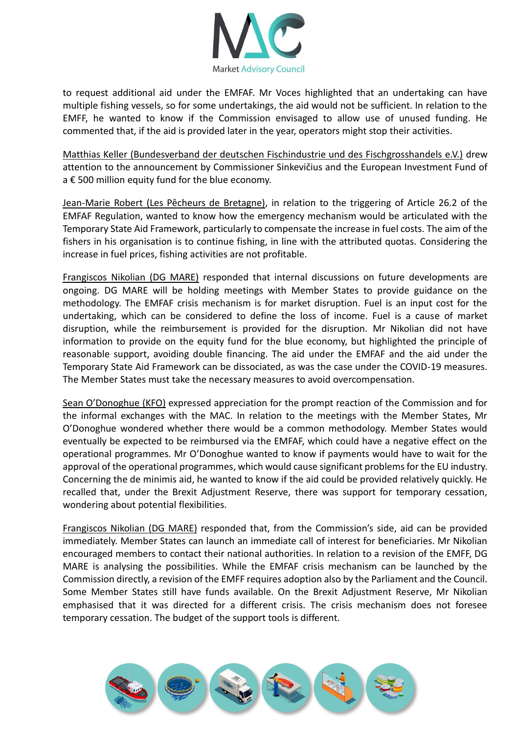

to request additional aid under the EMFAF. Mr Voces highlighted that an undertaking can have multiple fishing vessels, so for some undertakings, the aid would not be sufficient. In relation to the EMFF, he wanted to know if the Commission envisaged to allow use of unused funding. He commented that, if the aid is provided later in the year, operators might stop their activities.

Matthias Keller (Bundesverband der deutschen Fischindustrie und des Fischgrosshandels e.V.) drew attention to the announcement by Commissioner Sinkevičius and the European Investment Fund of a € 500 million equity fund for the blue economy.

Jean-Marie Robert (Les Pêcheurs de Bretagne), in relation to the triggering of Article 26.2 of the EMFAF Regulation, wanted to know how the emergency mechanism would be articulated with the Temporary State Aid Framework, particularly to compensate the increase in fuel costs. The aim of the fishers in his organisation is to continue fishing, in line with the attributed quotas. Considering the increase in fuel prices, fishing activities are not profitable.

Frangiscos Nikolian (DG MARE) responded that internal discussions on future developments are ongoing. DG MARE will be holding meetings with Member States to provide guidance on the methodology. The EMFAF crisis mechanism is for market disruption. Fuel is an input cost for the undertaking, which can be considered to define the loss of income. Fuel is a cause of market disruption, while the reimbursement is provided for the disruption. Mr Nikolian did not have information to provide on the equity fund for the blue economy, but highlighted the principle of reasonable support, avoiding double financing. The aid under the EMFAF and the aid under the Temporary State Aid Framework can be dissociated, as was the case under the COVID-19 measures. The Member States must take the necessary measures to avoid overcompensation.

Sean O'Donoghue (KFO) expressed appreciation for the prompt reaction of the Commission and for the informal exchanges with the MAC. In relation to the meetings with the Member States, Mr O'Donoghue wondered whether there would be a common methodology. Member States would eventually be expected to be reimbursed via the EMFAF, which could have a negative effect on the operational programmes. Mr O'Donoghue wanted to know if payments would have to wait for the approval of the operational programmes, which would cause significant problems for the EU industry. Concerning the de minimis aid, he wanted to know if the aid could be provided relatively quickly. He recalled that, under the Brexit Adjustment Reserve, there was support for temporary cessation, wondering about potential flexibilities.

Frangiscos Nikolian (DG MARE) responded that, from the Commission's side, aid can be provided immediately. Member States can launch an immediate call of interest for beneficiaries. Mr Nikolian encouraged members to contact their national authorities. In relation to a revision of the EMFF, DG MARE is analysing the possibilities. While the EMFAF crisis mechanism can be launched by the Commission directly, a revision of the EMFF requires adoption also by the Parliament and the Council. Some Member States still have funds available. On the Brexit Adjustment Reserve, Mr Nikolian emphasised that it was directed for a different crisis. The crisis mechanism does not foresee temporary cessation. The budget of the support tools is different.

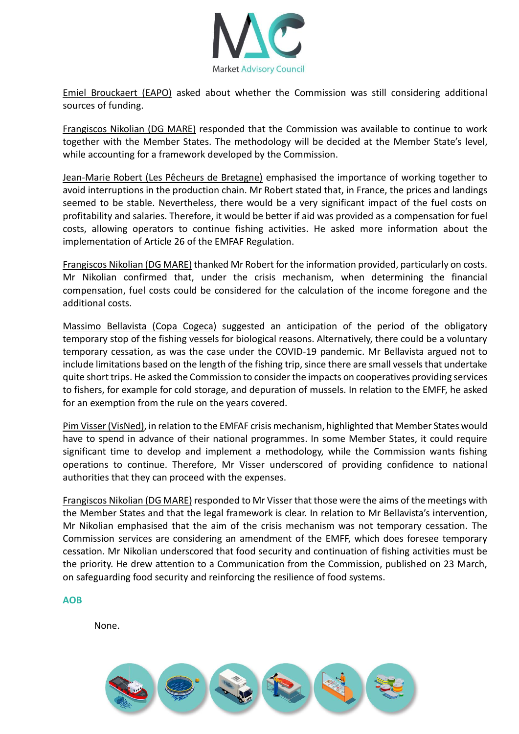

Emiel Brouckaert (EAPO) asked about whether the Commission was still considering additional sources of funding.

Frangiscos Nikolian (DG MARE) responded that the Commission was available to continue to work together with the Member States. The methodology will be decided at the Member State's level, while accounting for a framework developed by the Commission.

Jean-Marie Robert (Les Pêcheurs de Bretagne) emphasised the importance of working together to avoid interruptions in the production chain. Mr Robert stated that, in France, the prices and landings seemed to be stable. Nevertheless, there would be a very significant impact of the fuel costs on profitability and salaries. Therefore, it would be better if aid was provided as a compensation for fuel costs, allowing operators to continue fishing activities. He asked more information about the implementation of Article 26 of the EMFAF Regulation.

Frangiscos Nikolian (DG MARE) thanked Mr Robert for the information provided, particularly on costs. Mr Nikolian confirmed that, under the crisis mechanism, when determining the financial compensation, fuel costs could be considered for the calculation of the income foregone and the additional costs.

Massimo Bellavista (Copa Cogeca) suggested an anticipation of the period of the obligatory temporary stop of the fishing vessels for biological reasons. Alternatively, there could be a voluntary temporary cessation, as was the case under the COVID-19 pandemic. Mr Bellavista argued not to include limitations based on the length of the fishing trip, since there are small vessels that undertake quite short trips. He asked the Commission to consider the impacts on cooperatives providing services to fishers, for example for cold storage, and depuration of mussels. In relation to the EMFF, he asked for an exemption from the rule on the years covered.

Pim Visser (VisNed), in relation to the EMFAF crisis mechanism, highlighted that Member States would have to spend in advance of their national programmes. In some Member States, it could require significant time to develop and implement a methodology, while the Commission wants fishing operations to continue. Therefore, Mr Visser underscored of providing confidence to national authorities that they can proceed with the expenses.

Frangiscos Nikolian (DG MARE) responded to Mr Visser that those were the aims of the meetings with the Member States and that the legal framework is clear. In relation to Mr Bellavista's intervention, Mr Nikolian emphasised that the aim of the crisis mechanism was not temporary cessation. The Commission services are considering an amendment of the EMFF, which does foresee temporary cessation. Mr Nikolian underscored that food security and continuation of fishing activities must be the priority. He drew attention to a Communication from the Commission, published on 23 March, on safeguarding food security and reinforcing the resilience of food systems.

#### **AOB**

None.

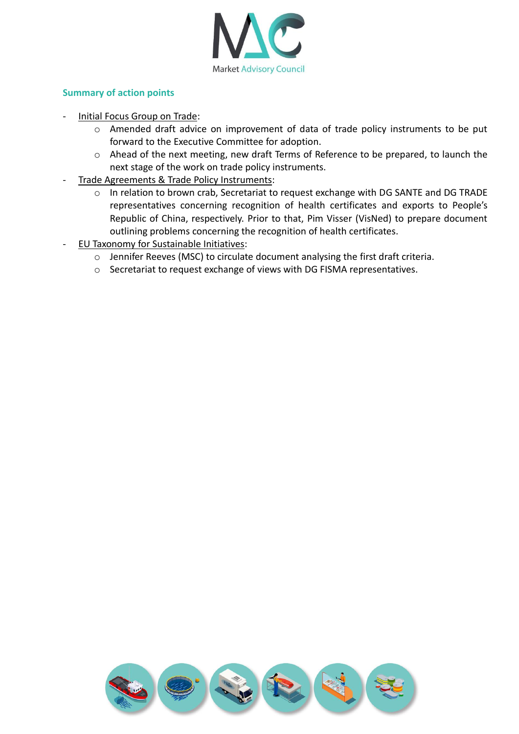

### **Summary of action points**

- Initial Focus Group on Trade:
	- o Amended draft advice on improvement of data of trade policy instruments to be put forward to the Executive Committee for adoption.
	- o Ahead of the next meeting, new draft Terms of Reference to be prepared, to launch the next stage of the work on trade policy instruments.
- Trade Agreements & Trade Policy Instruments:
	- o In relation to brown crab, Secretariat to request exchange with DG SANTE and DG TRADE representatives concerning recognition of health certificates and exports to People's Republic of China, respectively. Prior to that, Pim Visser (VisNed) to prepare document outlining problems concerning the recognition of health certificates.
- EU Taxonomy for Sustainable Initiatives:
	- o Jennifer Reeves (MSC) to circulate document analysing the first draft criteria.
	- o Secretariat to request exchange of views with DG FISMA representatives.

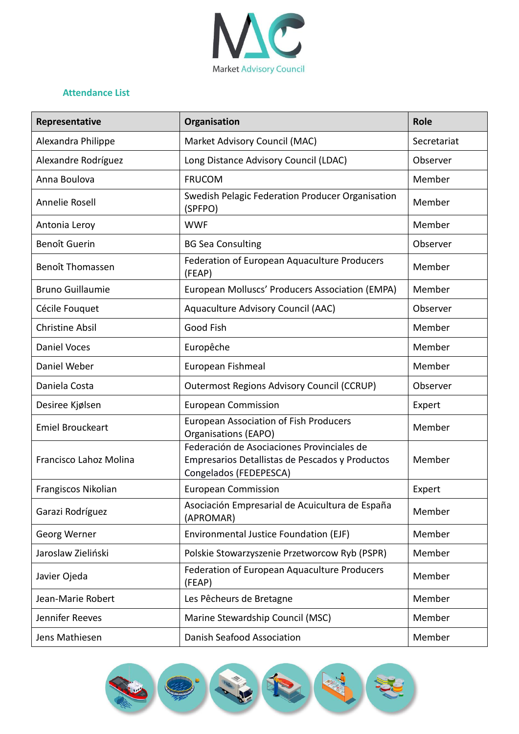

## **Attendance List**

| Representative          | Organisation                                                                                                            | <b>Role</b> |
|-------------------------|-------------------------------------------------------------------------------------------------------------------------|-------------|
| Alexandra Philippe      | Market Advisory Council (MAC)                                                                                           | Secretariat |
| Alexandre Rodríguez     | Long Distance Advisory Council (LDAC)                                                                                   | Observer    |
| Anna Boulova            | <b>FRUCOM</b>                                                                                                           | Member      |
| Annelie Rosell          | Swedish Pelagic Federation Producer Organisation<br>(SPFPO)                                                             | Member      |
| Antonia Leroy           | <b>WWF</b>                                                                                                              | Member      |
| Benoît Guerin           | <b>BG Sea Consulting</b>                                                                                                | Observer    |
| <b>Benoît Thomassen</b> | Federation of European Aquaculture Producers<br>(FEAP)                                                                  | Member      |
| <b>Bruno Guillaumie</b> | European Molluscs' Producers Association (EMPA)                                                                         | Member      |
| Cécile Fouquet          | Aquaculture Advisory Council (AAC)                                                                                      | Observer    |
| <b>Christine Absil</b>  | Good Fish                                                                                                               | Member      |
| <b>Daniel Voces</b>     | Europêche                                                                                                               | Member      |
| Daniel Weber            | European Fishmeal                                                                                                       | Member      |
| Daniela Costa           | <b>Outermost Regions Advisory Council (CCRUP)</b>                                                                       | Observer    |
| Desiree Kjølsen         | <b>European Commission</b>                                                                                              | Expert      |
| <b>Emiel Brouckeart</b> | <b>European Association of Fish Producers</b><br>Organisations (EAPO)                                                   | Member      |
| Francisco Lahoz Molina  | Federación de Asociaciones Provinciales de<br>Empresarios Detallistas de Pescados y Productos<br>Congelados (FEDEPESCA) | Member      |
| Frangiscos Nikolian     | <b>European Commission</b>                                                                                              | Expert      |
| Garazi Rodríguez        | Asociación Empresarial de Acuicultura de España<br>(APROMAR)                                                            | Member      |
| Georg Werner            | Environmental Justice Foundation (EJF)                                                                                  | Member      |
| Jaroslaw Zieliński      | Polskie Stowarzyszenie Przetworcow Ryb (PSPR)                                                                           | Member      |
| Javier Ojeda            | Federation of European Aquaculture Producers<br>(FEAP)                                                                  | Member      |
| Jean-Marie Robert       | Les Pêcheurs de Bretagne                                                                                                | Member      |
| Jennifer Reeves         | Marine Stewardship Council (MSC)                                                                                        | Member      |
| Jens Mathiesen          | Danish Seafood Association                                                                                              | Member      |

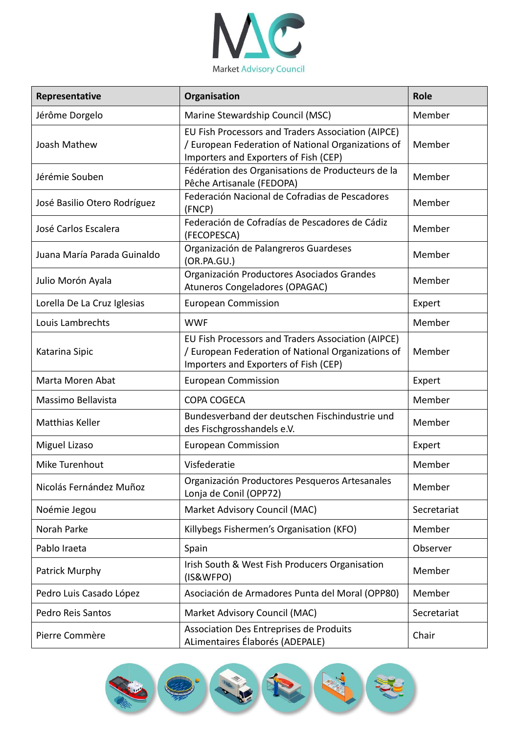

| Representative               | Organisation                                                                                                                                      | <b>Role</b> |
|------------------------------|---------------------------------------------------------------------------------------------------------------------------------------------------|-------------|
| Jérôme Dorgelo               | Marine Stewardship Council (MSC)                                                                                                                  | Member      |
| Joash Mathew                 | EU Fish Processors and Traders Association (AIPCE)<br>/ European Federation of National Organizations of<br>Importers and Exporters of Fish (CEP) | Member      |
| Jérémie Souben               | Fédération des Organisations de Producteurs de la<br>Pêche Artisanale (FEDOPA)                                                                    | Member      |
| José Basilio Otero Rodríguez | Federación Nacional de Cofradias de Pescadores<br>(FNCP)                                                                                          | Member      |
| José Carlos Escalera         | Federación de Cofradías de Pescadores de Cádiz<br>(FECOPESCA)                                                                                     | Member      |
| Juana María Parada Guinaldo  | Organización de Palangreros Guardeses<br>(OR.PA.GU.)                                                                                              | Member      |
| Julio Morón Ayala            | Organización Productores Asociados Grandes<br>Atuneros Congeladores (OPAGAC)                                                                      | Member      |
| Lorella De La Cruz Iglesias  | <b>European Commission</b>                                                                                                                        | Expert      |
| Louis Lambrechts             | <b>WWF</b>                                                                                                                                        | Member      |
| Katarina Sipic               | EU Fish Processors and Traders Association (AIPCE)<br>/ European Federation of National Organizations of<br>Importers and Exporters of Fish (CEP) | Member      |
| Marta Moren Abat             | <b>European Commission</b>                                                                                                                        | Expert      |
| Massimo Bellavista           | COPA COGECA                                                                                                                                       | Member      |
| <b>Matthias Keller</b>       | Bundesverband der deutschen Fischindustrie und<br>des Fischgrosshandels e.V.                                                                      | Member      |
| Miguel Lizaso                | <b>European Commission</b>                                                                                                                        | Expert      |
| Mike Turenhout               | Visfederatie                                                                                                                                      | Member      |
| Nicolás Fernández Muñoz      | Organización Productores Pesqueros Artesanales<br>Lonja de Conil (OPP72)                                                                          | Member      |
| Noémie Jegou                 | Market Advisory Council (MAC)                                                                                                                     | Secretariat |
| Norah Parke                  | Killybegs Fishermen's Organisation (KFO)                                                                                                          | Member      |
| Pablo Iraeta                 | Spain                                                                                                                                             | Observer    |
| Patrick Murphy               | Irish South & West Fish Producers Organisation<br>(IS&WFPO)                                                                                       | Member      |
| Pedro Luis Casado López      | Asociación de Armadores Punta del Moral (OPP80)                                                                                                   | Member      |
| <b>Pedro Reis Santos</b>     | Market Advisory Council (MAC)                                                                                                                     | Secretariat |
| Pierre Commère               | <b>Association Des Entreprises de Produits</b><br>ALimentaires Élaborés (ADEPALE)                                                                 | Chair       |